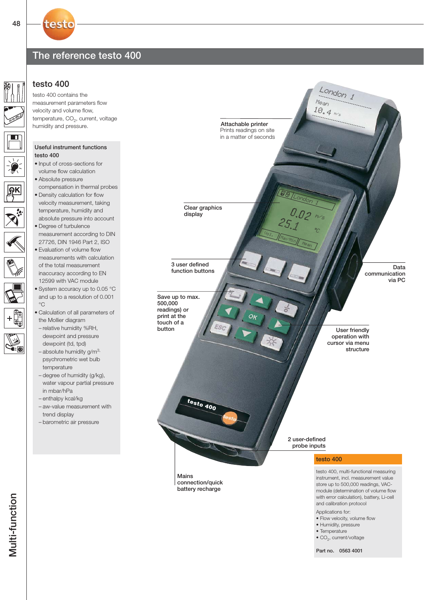## The reference testo 400

### testo 400

testo

testo 400 contains the measurement parameters flow velocity and volume flow, temperature, CO<sub>2</sub>, current, voltage humidity and pressure.

#### Useful instrument functions testo  $400$

- Input of cross-sections for volume flow calculation
- Absolute pressure
- compensation in thermal probes • Density calculation for flow
- velocity measurement, taking temperature, humidity and absolute pressure into account • Degree of turbulence
- measurement according to DIN 27726, DIN 1946 Part 2, ISO
- Evaluation of volume flow measurements with calculation of the total measurement inaccuracy according to EN 12599 with VAC module
- System accuracy up to 0.05 °C and up to a resolution of 0.001  $^{\circ}C$
- Calculation of all parameters of the Mollier diagram
- relative humidity %RH, dewpoint and pressure dewpoint (td, tpd)
- $-$  absolute humidity g/m<sup>3,</sup> psychrometric wet bulb temperature
- degree of humidity (g/kg), water vapour partial pressure in mbar/hPa
- enthalpy kcal/kg
- aw-value measurement with trend display
- barometric air pressure

Function buttons Data communication via PC User friendly operation with cursor via menu structure Attachable printer Prints readings on site in a matter of seconds London 1 m/s **Vol.** IMax Min Mean °C

 $10.4$  ms Mean

London 1

2 user-defined probe inputs

**testo 400**

Mains

connection/quick battery recharge

Clear graphics display

Save up to max. 500,000 readings) or print at the touch of a button

3 user defined

### testo 400

testo 400, multi-functional measuring instrument, incl. measurement value store up to 500,000 readings, VACmodule (determination of volume flow with error calculation), battery, Li-cell and calibration protocol

#### Applications for:

- Flow velocity, volume flow
- Humidity, pressure
- Temperature
- $\bullet$  CO<sub>2</sub>, current/voltage

Part no. 0563 4001

48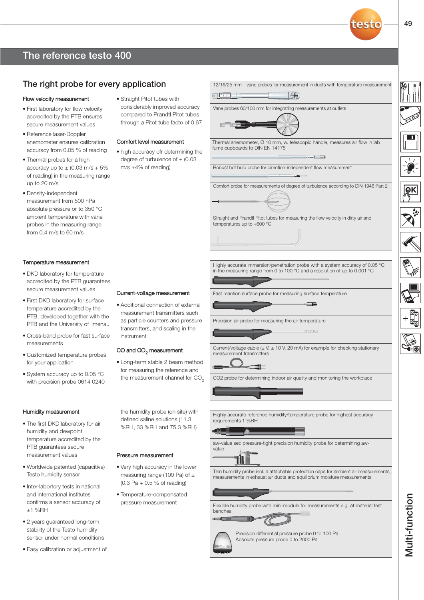## The reference testo 400

## The right probe for every application

#### Flow velocity measurement

- First laboratory for flow velocity accredited by the PTB ensures secure measurement values
- Reference laser-Doppler anemometer ensures calibration accuracy from 0.05 % of reading
- Thermal probes for a high accuracy up to  $\pm$  (0.03 m/s + 5% of reading) in the measuring range up to 20 m/s
- Density-independent measurement from 500 hPa absolute pressure or to 350 °C ambient temperature with vane probes in the measuring range from 0.4 m/s to 60 m/s

#### Temperature measurement

- DKD laboratory for temperature accredited by the PTB guarantees secure measurement values
- First DKD laboratory for surface temperature accredited by the PTB, developed together with the PTB and the University of Ilmenau
- Cross-band probe for fast surface measurements
- Customized temperature probes for your application
- System accuracy up to 0.05 °C with precision probe 0614 0240

#### Humidity measurement

- The first DKD laboratory for air humidity and dewpoint temperature accredited by the PTB guarantees secure measurement values
- Worldwide patented (capacitive) Testo humidity sensor
- Inter-labortory tests in national and international institutes confirms a sensor accuracy of ±1 %RH
- 2 years guaranteed long-term stability of the Testo humidity sensor under normal conditions
- Easy calibration or adjustment of

• Straight Pitot tubes with considerably improved accuracy compared to Prandtl Pitot tubes through a Pitot tube facto of 0.67

#### Comfort level measurement

• high accuracy ofr determining the degree of turbulence of  $\pm$  (0.03 m/s +4% of reading)

Current-voltage measurement • Additional connection of external measurement transmitters such as particle counters and pressure transmitters, and scaling in the

CO and CO<sub>2</sub> measurement

Pressure measurement

• Very high accuracy in the lower measuring range (100 Pa) of  $\pm$ (0.3 Pa + 0.5 % of reading) • Temperature-compensated pressure measurement

• Long-term stable 2 beam method for measuring the reference and the measurement channel for  $CO<sub>2</sub>$ 

the humidity probe (on site) with defined saline solutions (11.3 %RH, 33 %RH and 75.3 %RH)

instrument

**MEDITOR** Thermal anemometer, Ø 10 mm, w. telescopic handle, measures air flow in lab fume cupboards to DIN EN 14175 **But Co** Robust hot bulb probe for direction-independent flow measurement **Digest** Comfort probe for measurements of degree of turbulence according to DIN 1946 Part 2 Straight and Prandtl Pitot tubes for measuring the flow velocity in dirty air and temperatures up to +600 °C Highly accurate immersion/penetration probe with a system accuracy of 0.05 °C in the measuring range from 0 to 100 °C and a resolution of up to 0.001 °C Fast reaction surface probe for measuring surface temperature Precision air probe for measuring the air temperature ഹരത

Vane probes 60/100 mm for integrating measurements at outlets

ated B

12/16/25 mm – vane probes for measurement in ducts with temperature measurement

 $\Box \textcircled{\scriptsize{*}}$ 

Current/voltage cable  $(\pm \sqrt{2}, \pm 10 \sqrt{2})$  (20 mA) for example for checking stationary measurement transmitters

CO2 probe for determining indoor air quality and monitoring the workplace

Highly accurate reference humidity/temperature probe for highest accuracy requirements 1 %RH

aw-value set: pressure-tight precision humidity probe for determining awvalue

Thin humidity probe incl. 4 attachable protection caps for ambient air measurements, measurements in exhaust air ducts and equilibrium moisture measurements

Flexible humidty probe with mini-module for measurements e.g. at material test benches

U



Precision differential pressure probe 0 to 100 Pa Absolute pressure probe 0 to 2000 Pa

49

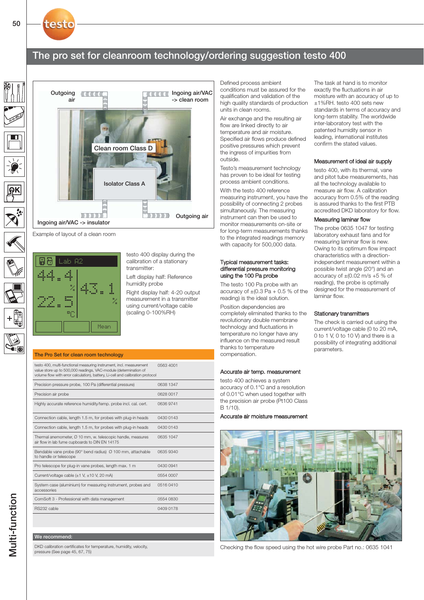## The pro set for cleanroom technology/ordering suggestion testo 400



Example of layout of a clean room



testo 400 display during the calibration of a stationary transmitter:

Left display half: Reference humidity probe

Right display half: 4-20 output measurement in a transmitter using current/voltage cable (scaling 0-100%RH)

#### The Pro Set for clean room technology

testo 400, multi-functional measuring instrument, incl. measurement value store up to 500,000 readings, VAC-module (determination of volume flow with error calculation), battery, Li-cell and calibration protocol 0563 4001 Precision pressure probe, 100 Pa (differential pressure) 0638 1347 Precision air probe 0628 0017 Highly accurate reference humidity/temp. probe incl. cal. cert. 0636 9741 Connection cable, length 1.5 m, for probes with plug-in heads 0430 0143 Connection cable, length 1.5 m, for probes with plug-in heads 0430 0143 Thermal anemometer, Ø 10 mm, w. telescopic handle, measures air flow in lab fume cupboards to DIN EN 14175 0635 1047 Bendable vane probe (90° bend radius) Ø 100 mm, attachable to handle or telescope 0635 9340 Pro telescope for plug-in vane probes, length max. 1 m 0430 0941 Current/voltage cable (±1 V, ±10 V, 20 mA) 0554 0007 System case (aluminium) for measuring instrument, probes and accessories 0516 0410 ComSoft 3 - Professional with data management 0554 0830 RS232 cable 0409 0178

#### We recommend:

DKD calibration certificates for temperature, humidity, velocity, pressure (See page 45, 67, 75)

Defined process ambient conditions must be assured for the qualification and validation of the high quality standards of production units in clean rooms.

Air exchange and the resulting air flow are linked directly to air temperature and air moisture. Specified air flows produce defined positive pressures which prevent the ingress of impurities from outside.

Testo's measurement technology has proven to be ideal for testing process ambient conditions.

With the testo 400 reference measuring instrument, you have the possibility of connecting 2 probes simultaneously. The measuring instrument can then be used to monitor measurements on-site or for long-term measurements thanks to the integrated readings memory with capacity for 500,000 data.

#### Typical measurement tasks: differential pressure monitoring using the 100 Pa probe

The testo 100 Pa probe with an accuracy of  $\pm (0.3 \text{ Pa} + 0.5 \text{ % of the})$ reading) is the ideal solution.

Position dependencies are completely eliminated thanks to the revolutionary double membrane technology and fluctuations in temperature no longer have any influence on the measured result thanks to temperature compensation.

#### Accurate air temp. measurement

testo 400 achieves a system accuracy of 0.1°C and a resolution of 0.01°C when used together with the precision air probe (Pt100 Class B 1/10).

Accurate air moisture measurement



Checking the flow speed using the hot wire probe Part no.: 0635 1041

The task at hand is to monitor exactly the fluctuations in air moisture with an accuracy of up to ±1%RH. testo 400 sets new standards in terms of accuracy and long-term stability. The worldwide inter-laboratory test with the patented humidity sensor in leading, international institutes confirm the stated values.

#### Measurement of ideal air supply

testo 400, with its thermal, vane and pitot tube measurements, has all the technology available to measure air flow. A calibration accuracy from 0.5% of the reading is assured thanks to the first PTB accredited DKD laboratory for flow.

#### Measuring laminar flow

The probe 0635 1047 for testing laboratory exhaust fans and for measuring laminar flow is new. Owing to its optimum flow impact characteristics with a directionindependent measurement within a possible twist angle (20°) and an accuracy of  $\pm (0.02 \text{ m/s } +5 \text{ % of})$ reading), the probe is optimally designed for the measurement of laminar flow.

#### Stationary transmitters

The check is carried out using the current/voltage cable (0 to 20 mA, 0 to 1 V, 0 to 10 V) and there is a possibility of integrating additional parameters.

**Multi-function** Multi-function testo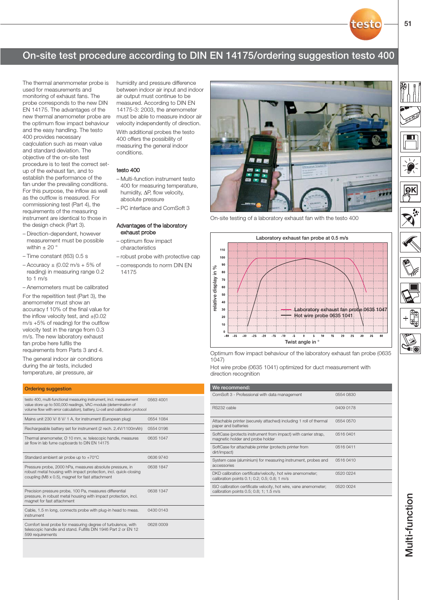## On-site test procedure according to DIN EN 14175/ordering suggestion testo 400

The thermal anenmometer probe is used for measurements and monitoring of exhaust fans. The probe corresponds to the new DIN EN 14175. The advantages of the new thermal anemometer probe are the optimum flow impact behaviour and the easy handling. The testo 400 provides necessary caqlculation such as mean value and standard deviation. The objective of the on-site test procedure is to test the correct setup of the exhaust fan, and to establish the performance of the fan under the prevailing conditions. For this purpose, the inflow as well as the outflow is measured. For commissioning test (Part 4), the requirements of the measuring instrument are identical to those in the design check (Part 3).

- Direction-dependent, however measurement must be possible within  $\pm$  20  $^{\circ}$
- Time constant (t63) 0.5 s
- $-$  Accuracy  $\pm$  (0.02 m/s + 5% of reading) in measuring range 0.2 to 1 m/s

– Anemometers must be calibrated

For the repeitition test (Part 3), the anemometer must show an accuracy f 10% of the final value for the inflow velocity test, and  $\pm$ (0.02 m/s +5% of reading) for the outflow velocity test in the range from 0.3 m/s. The new laboratory exhaust fan probe here fulfils the requirements from Parts 3 and 4.

The general indoor air conditions

during the air tests, included temperature, air pressure, air

| <b>Ordering suggestion</b>                                                                                                                                                                                                |           |
|---------------------------------------------------------------------------------------------------------------------------------------------------------------------------------------------------------------------------|-----------|
| testo 400, multi-functional measuring instrument, incl. measurement<br>value store up to 500,000 readings, VAC-module (determination of<br>volume flow with error calculation), battery, Li-cell and calibration protocol | 0563 4001 |
| Mains unit 230 V/ 8 V/ 1 A, for instrument (European plug)                                                                                                                                                                | 0554 1084 |
| Rechargeable battery set for instrument (2 rech. 2.4V/1100mAh)                                                                                                                                                            | 0554 0196 |
| Thermal anemometer, Ø 10 mm, w. telescopic handle, measures<br>air flow in lab fume cupboards to DIN EN 14175                                                                                                             | 0635 1047 |
| Standard ambient air probe up to +70°C                                                                                                                                                                                    | 0636 9740 |
| Pressure probe, 2000 hPa, measures absolute pressure, in<br>robust metal housing with impact protection, incl. quick-closing<br>coupling (M8 x 0.5), magnet for fast attachment                                           | 0638 1847 |
| Precision pressure probe, 100 Pa, measures differential<br>pressure, in robust metal housing with impact protection, incl.<br>magnet for fast attachment                                                                  | 0638 1347 |
| Cable, 1.5 m long, connects probe with plug-in head to meas.<br>instrument                                                                                                                                                | 0430 0143 |
| Comfort level probe for measuring degree of turbulence, with<br>telescopic handle and stand. Fulfills DIN 1946 Part 2 or EN 12<br>599 requirements                                                                        | 0628 0009 |
|                                                                                                                                                                                                                           |           |

humidity and pressure difference between indoor air input and indoor air output must continue to be measured. According to DIN EN 14175-3: 2003, the anemometer must be able to measure indoor air velocity independently of direction. With additional probes the testo 400 offers the possibility of measuring the general indoor conditions.

### testo 400

- Multi-function instrument testo 400 for measuring temperature, humidity, ΔP, flow velocity, absolute pressure
- PC interface and ComSoft 3

#### Advantages of the laboratory exhaust probe

- optimum flow impact characteristics
- robust probe with protective cap
- corresponds to norm DIN EN 14175



On-site testing of a laboratory exhaust fan with the testo 400



Optimum flow impact behaviour of the laboratory exhaust fan probe (0635 1047)

Hot wire probe (0635 1041) optimized for duct measurement with

| We recommend:                                                                                               |           |
|-------------------------------------------------------------------------------------------------------------|-----------|
| ComSoft 3 - Professional with data management                                                               | 0554 0830 |
| RS232 cable                                                                                                 | 0409 0178 |
| Attachable printer (securely attached) including 1 roll of thermal<br>paper and batteries                   | 0554 0570 |
| SoftCase (protects instrument from impact) with carrier strap,<br>magnetic holder and probe holder          | 0516 0401 |
| SoftCase for attachable printer (protects printer from<br>dirt/impact)                                      | 0516 0411 |
| System case (aluminium) for measuring instrument, probes and<br>accessories                                 | 0516 0410 |
| DKD calibration certificate/velocity, hot wire anemometer;<br>calibration points 0.1; 0.2; 0.5; 0.8; 1 m/s  | 0520 0224 |
| ISO calibration certificate velocity, hot wire, vane anemometer;<br>calibration points 0.5; 0.8; 1; 1.5 m/s | 0520 0024 |
|                                                                                                             |           |

testo

í-6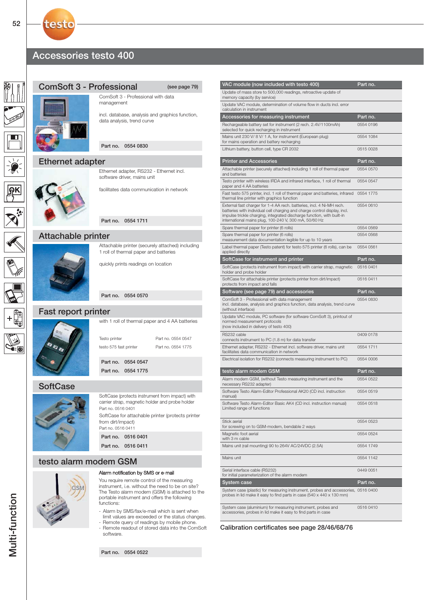## Accessories testo 400

testo





#### Alarm notification by SMS or e-mail

You require remote control of the measuring instrument, i.e. without the need to be on site? The Testo alarm modem (GSM) is attached to the portable instrument and offers the following functions:

- Alarm by SMS/fax/e-mail which is sent when limit values are exceeded or the status changes. - Remote query of readings by mobile phone.
- Remote readout of stored data into the ComSoft software.

Part no. 0554 0522

| VAC module (now included with testo 400)                                                                                                                                                                                                                                              | Part no.  |
|---------------------------------------------------------------------------------------------------------------------------------------------------------------------------------------------------------------------------------------------------------------------------------------|-----------|
| Update of mass store to 500,000 readings, retroactive update of<br>memory capacity (by service)                                                                                                                                                                                       |           |
| Update VAC module, determination of volume flow in ducts incl. error<br>calculation in instrument                                                                                                                                                                                     |           |
| Accessories for measuring instrument                                                                                                                                                                                                                                                  | Part no.  |
| Rechargeable battery set for instrument (2 rech. 2.4V/1100mAh)<br>selected for quick recharging in instrument                                                                                                                                                                         | 0554 0196 |
| Mains unit 230 V/ 8 V/ 1 A, for instrument (European plug)<br>for mains operation and battery recharging                                                                                                                                                                              | 0554 1084 |
| Lithium battery, button cell, type CR 2032                                                                                                                                                                                                                                            | 0515 0028 |
| <b>Printer and Accessories</b>                                                                                                                                                                                                                                                        | Part no.  |
| Attachable printer (securely attached) including 1 roll of thermal paper<br>and batteries                                                                                                                                                                                             | 0554 0570 |
| Testo printer with wireless IRDA and infrared interface, 1 roll of thermal<br>paper and 4 AA batteries                                                                                                                                                                                | 0554 0547 |
| Fast testo 575 printer, incl. 1 roll of thermal paper and batteries, infrared<br>thermal line printer with graphics function                                                                                                                                                          | 0554 1775 |
| External fast charger for 1-4 AA rech. batteries, incl. 4 Ni-MH rech.<br>batteries with individual cell charging and charge control display, incl.<br>impulse trickle charging, integrated discharge function, with built-in<br>international mains plug, 100-240 V, 300 mA, 50/60 Hz | 0554 0610 |
| Spare thermal paper for printer (6 rolls)                                                                                                                                                                                                                                             | 0554 0569 |
| Spare thermal paper for printer (6 rolls)<br>measurement data documentation legible for up to 10 years                                                                                                                                                                                | 0554 0568 |
| Label thermal paper (Testo patent) for testo 575 printer (6 rolls), can be<br>applied directly                                                                                                                                                                                        | 0554 0561 |
| SoftCase for instrument and printer                                                                                                                                                                                                                                                   | Part no.  |
| SoftCase (protects instrument from impact) with carrier strap, magnetic<br>holder and probe holder                                                                                                                                                                                    | 0516 0401 |
| SoftCase for attachable printer (protects printer from dirt/impact)<br>protects from impact and falls                                                                                                                                                                                 | 0516 0411 |
| Software (see page 79) and accessories                                                                                                                                                                                                                                                | Part no.  |
| ComSoft 3 - Professional with data management<br>incl. database, analysis and graphics function, data analysis, trend curve<br>(without interface)                                                                                                                                    | 0554 0830 |
| Update VAC module, PC software (for software ComSoft 3), printout of<br>normed measurement protocols<br>(now included in delivery of testo 400)                                                                                                                                       |           |
| RS232 cable<br>connects instrument to PC (1.8 m) for data transfer                                                                                                                                                                                                                    | 0409 0178 |
| Ethernet adapter, RS232 - Ethernet incl. software driver, mains unit<br>facilitates data communication in network                                                                                                                                                                     | 0554 1711 |
| Electrical isolation for RS232 (connects measuring instrument to PC)                                                                                                                                                                                                                  | 0554 0006 |
| testo alarm modem GSM                                                                                                                                                                                                                                                                 | Part no.  |
| Alarm modem GSM, (without Testo measuring instrument and the<br>necessary RS232 adapter)                                                                                                                                                                                              | 0554 0522 |
| Software Testo Alarm-Editor Professional AK20 (CD incl. instruction<br>manual)                                                                                                                                                                                                        | 0554 0519 |
| Software Testo Alarm-Editor Basic AK4 (CD incl. instruction manual)<br>Limited range of functions                                                                                                                                                                                     | 0554 0518 |
| Stick aerial<br>for screwing on to GSM-modem, bendable 2 ways                                                                                                                                                                                                                         | 0554 0523 |
| Magnetic foot aerial<br>with 3 m cable                                                                                                                                                                                                                                                | 0554 0524 |
| Mains unit (rail mounting) 90 to 264V AC/24VDC (2.5A)                                                                                                                                                                                                                                 | 0554 1749 |
| Mains unit                                                                                                                                                                                                                                                                            | 0554 1142 |
| Serial interface cable (RS232)<br>for initial parameterization of the alarm modem                                                                                                                                                                                                     | 0449 0051 |
| System case                                                                                                                                                                                                                                                                           | Part no.  |
| System case (plastic) for measuring instrument, probes and accessories, 0516 0400<br>probes in lid make it easy to find parts in case (540 x 440 x 130 mm)                                                                                                                            |           |
| System case (aluminium) for measuring instrument, probes and<br>accessories, probes in lid make it easy to find parts in case                                                                                                                                                         | 0516 0410 |

Calibration certificates see page 28/46/68/76

 $\epsilon$  =  $\epsilon$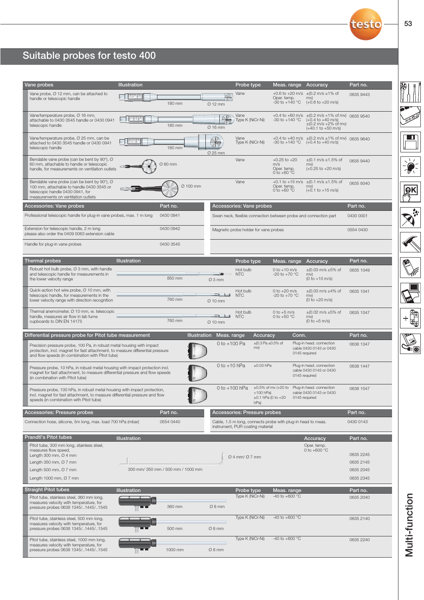# Suitable probes for testo 400

| Vane probes                                                                                                                                                                                                 | <b>Illustration</b> |                                   |                                            | Probe type                                                                                       |                                              |                                                          | Meas. range Accuracy                                                                                                                                                                    | Part no.  |
|-------------------------------------------------------------------------------------------------------------------------------------------------------------------------------------------------------------|---------------------|-----------------------------------|--------------------------------------------|--------------------------------------------------------------------------------------------------|----------------------------------------------|----------------------------------------------------------|-----------------------------------------------------------------------------------------------------------------------------------------------------------------------------------------|-----------|
| Vane probe, Ø 12 mm, can be attached to<br>handle or telescopic handle                                                                                                                                      | 22                  | 180 mm                            | ⊿ाज<br>$Ø$ 12 mm                           | Vane                                                                                             |                                              | Oper. temp.<br>$-30$ to $+140$ °C                        | +0.6 to +20 m/s $\pm$ (0.2 m/s $\pm$ 1% of<br>mv)<br>$(+0.6 \text{ to } +20 \text{ m/s})$                                                                                               | 0635 9443 |
| Vane/temperature probe, Ø 16 mm,<br>attachable to 0430 3545 handle or 0430 0941<br>telescopic handle                                                                                                        |                     | 180 mm                            | $\varnothing$ 16 mm                        | Vane<br>Type K (NiCr-Ni)                                                                         |                                              | -30 to +140 $^{\circ}$ C                                 | +0.4 to +60 m/s ±(0.2 m/s +1% of mv) 0635 9540<br>$(+0.4 \text{ to } +40 \text{ m/s})$<br>$\pm (0.2 \text{ m/s } + 2\% \text{ of } \text{mv})$<br>$(+40.1 \text{ to } +50 \text{ m/s})$ |           |
| Vane/temperature probe, Ø 25 mm, can be<br>attached to 0430 3545 handle or 0430 0941<br>telescopic handle                                                                                                   |                     | 180 mm                            | Ø 25 mm                                    | Vane<br>Type K (NiCr-Ni)                                                                         |                                              | -30 to +140 °C                                           | +0.4 to +40 m/s $\pm$ (0.2 m/s $\pm$ 1% of mv) 0635 9640<br>(+0.4 to +40 m/s)                                                                                                           |           |
| Bendable vane probe (can be bent by 90°), Ø<br>60 mm, attachable to handle or telescopic<br>handle, for measurements on ventilation outlets                                                                 |                     | Ø 60 mm                           |                                            | Vane                                                                                             | m/s                                          | $+0.25$ to $+20$<br>Oper. temp.<br>0 to +60 $^{\circ}$ C | $\pm$ (0.1 m/s $\pm$ 1.5% of<br>mv)<br>$(+0.25 \text{ to } +20 \text{ m/s})$                                                                                                            | 0635 9440 |
| Bendable vane probe (can be bent by 90°), Ø<br>100 mm, attachable to handle 0430 3545 or<br>telescopic handle 0430 0941, for<br>measurements on ventilation outlets                                         |                     | Ø 100 mm                          |                                            | Vane                                                                                             |                                              | Oper. temp.<br>0 to $+60^{\circ}$ C                      | +0.1 to +15 m/s $\pm$ (0.1 m/s $\pm$ 1.5% of<br>mv)<br>$(+0.1 \text{ to } +15 \text{ m/s})$                                                                                             | 0635 9340 |
| Accessories: Vane probes                                                                                                                                                                                    |                     | Part no.                          |                                            | Accessories: Vane probes                                                                         |                                              |                                                          |                                                                                                                                                                                         | Part no.  |
| Professional telescopic handle for plug-in vane probes, max. 1 m long                                                                                                                                       |                     | 0430 0941                         |                                            |                                                                                                  |                                              |                                                          | Swan neck, flexible connection between probe and connection part                                                                                                                        | 0430 0001 |
| Extension for telescopic handle, 2 m long<br>please also order the 0409 0063 extension cable                                                                                                                |                     | 0430 0942                         |                                            | Magnetic probe holder for vane probes                                                            |                                              |                                                          |                                                                                                                                                                                         | 0554 0430 |
| Handle for plug-in vane probes                                                                                                                                                                              |                     | 0430 3545                         |                                            |                                                                                                  |                                              |                                                          |                                                                                                                                                                                         |           |
| <b>Thermal probes</b>                                                                                                                                                                                       | <b>Illustration</b> |                                   |                                            | Probe type                                                                                       |                                              | Meas. range                                              | Accuracy                                                                                                                                                                                | Part no.  |
| Robust hot bulb probe, Ø 3 mm, with handle<br>and telescopic handle for measurements in<br>the lower velocity range                                                                                         |                     | 850 mm                            | <b>THE ST</b><br>ТÞ.<br>$\varnothing$ 3 mm | Hot bulb<br><b>NTC</b>                                                                           |                                              | 0 to $+10$ m/s<br>-20 to +70 $^{\circ}$ C                | $\pm$ (0.03 m/s $\pm$ 5% of<br>mv)<br>$(0 to +10 m/s)$                                                                                                                                  | 0635 1049 |
| Quick-action hot wire probe, Ø 10 mm, with<br>telescopic handle, for measurements in the<br>lower velocity range with direction recognition                                                                 |                     | 760 mm                            | احرب ہو<br>$\varnothing$ 10 mm             | Hot bulb<br><b>NTC</b>                                                                           |                                              | 0 to $+20$ m/s<br>$-20$ to $+70$ °C                      | $\pm$ (0.03 m/s $\pm$ 4% of<br>mv)<br>$(0 to +20 m/s)$                                                                                                                                  | 0635 1041 |
| Thermal anemometer, Ø 10 mm, w. telescopic<br>handle, measures air flow in lab fume<br>cupboards to DIN EN 14175                                                                                            |                     | 760 mm                            | ⊞ਵ∟ ਵਾ<br>$\varnothing$ 10 mm              | Hot bulb<br><b>NTC</b>                                                                           |                                              | 0 to $+5$ m/s<br>0 to +50 $^{\circ}$ C                   | $\pm (0.02 \text{ m/s } \pm 5\% \text{ of }$<br>mv)<br>$(0 to +5 m/s)$                                                                                                                  | 0635 1047 |
| Differential pressure probe for Pitot tube measurement                                                                                                                                                      |                     | <b>Illustration</b>               | Meas. range                                |                                                                                                  | Accuracy                                     | Conn.                                                    |                                                                                                                                                                                         | Part no.  |
| Precision pressure probe, 100 Pa, in robust metal housing with impact<br>protection, incl. magnet for fast attachment, to measure differential pressure<br>and flow speeds (in combination with Pitot tube) |                     |                                   | 0 to $+100$ Pa                             | mv)                                                                                              | $\pm (0.3 \text{ Pa } \pm 0.5\% \text{ of }$ |                                                          | Plug-in head. connection<br>cable 0430 0143 or 0430<br>0145 required                                                                                                                    | 0638 1347 |
| Pressure probe, 10 hPa, in robust metal housing with impact protection incl.<br>magnet for fast attachment, to measure differential pressure and flow speeds<br>(in combination with Pitot tube)            |                     |                                   | 0 to $+10$ hPa                             |                                                                                                  | $±0.03$ hPa                                  |                                                          | Plug-in head. connection<br>cable 0430 0143 or 0430<br>0145 required                                                                                                                    | 0638 1447 |
| Pressure probe, 100 hPa, in robust metal housing with impact protection,<br>incl. magnet for fast attachment, to measure differential pressure and flow<br>speeds (in combination with Pitot tube)          |                     |                                   |                                            | hPa)                                                                                             | $+100$ hPa)<br>$±0.1$ hPa (0 to $+20$        |                                                          | $0$ to $+100$ hPa $\pm 0.5$ % of mv ( $+20$ to Plug-in head. connection<br>cable 0430 0143 or 0430<br>0145 required                                                                     | 0638 1547 |
| Accessories: Pressure probes                                                                                                                                                                                |                     | Part no.                          |                                            | Accessories: Pressure probes                                                                     |                                              |                                                          |                                                                                                                                                                                         | Part no.  |
| Connection hose, silicone, 5m long, max. load 700 hPa (mbar)                                                                                                                                                |                     | 0554 0440                         |                                            | Cable, 1.5 m long, connects probe with plug-in head to meas.<br>instrument, PUR coating material |                                              |                                                          |                                                                                                                                                                                         | 0430 0143 |
| <b>Prandtl's Pitot tubes</b>                                                                                                                                                                                | Illustration        |                                   |                                            |                                                                                                  |                                              |                                                          | Accuracy                                                                                                                                                                                | Part no.  |
| Pitot tube, 300 mm long, stainless steel,                                                                                                                                                                   |                     |                                   |                                            |                                                                                                  |                                              |                                                          | Oper. temp.                                                                                                                                                                             |           |
| measures flow speed.<br>Length 300 mm, $\varnothing$ 4 mm                                                                                                                                                   |                     |                                   |                                            | $Q$ 4 mm/ $Q$ 7 mm                                                                               |                                              |                                                          | 0 to +600 $^{\circ}$ C                                                                                                                                                                  | 0635 2245 |
| Length 350 mm, $\varnothing$ 7 mm                                                                                                                                                                           |                     |                                   |                                            |                                                                                                  |                                              |                                                          |                                                                                                                                                                                         | 0635 2145 |
| Length 500 mm, $O$ 7 mm                                                                                                                                                                                     |                     | 300 mm/ 350 mm / 500 mm / 1000 mm |                                            |                                                                                                  |                                              |                                                          |                                                                                                                                                                                         | 0635 2045 |
| Length 1000 mm, Ø 7 mm                                                                                                                                                                                      |                     |                                   |                                            |                                                                                                  |                                              |                                                          |                                                                                                                                                                                         | 0635 2345 |
| <b>Straight Pitot tubes</b>                                                                                                                                                                                 | <b>Illustration</b> |                                   |                                            | Probe type                                                                                       |                                              | Meas. range                                              |                                                                                                                                                                                         | Part no.  |
| Pitot tube, stainless steel, 360 mm long,<br>measures velocity with temperature, for<br>pressure probes 0638 1345/1445/1545                                                                                 |                     | 360 mm                            | $\varnothing$ 8 mm                         | Type K (NiCr-Ni)                                                                                 |                                              | -40 to +600 °C                                           |                                                                                                                                                                                         | 0635 2040 |
| Pitot tube, stainless steel, 500 mm long,<br>measures velocity with temperature, for<br>pressure probes 0638 1345/1445/1545                                                                                 |                     | 500 mm                            | $Ø8$ mm                                    | Type K (NiCr-Ni)                                                                                 |                                              | -40 to +600 $^{\circ}$ C                                 |                                                                                                                                                                                         | 0635 2140 |
| Pitot tube, stainless steel, 1000 mm long,<br>measures velocity with temperature, for<br>pressure probes 0638 1345/1445/1545                                                                                |                     | 1000 mm                           | $Ø8$ mm                                    | Type K (NiCr-Ni)                                                                                 |                                              | -40 to +600 $^{\circ}$ C                                 |                                                                                                                                                                                         | 0635 2240 |

**Sept** 

 $\boxed{\blacksquare}$ 

 $\frac{1}{\frac{1}{2}}\sum_{i=1}^{N}$ 

 $\boxed{PR}$ 

**Air** 

 $\sum_{n=0}^{\infty}$ 

Multi-function Multi-function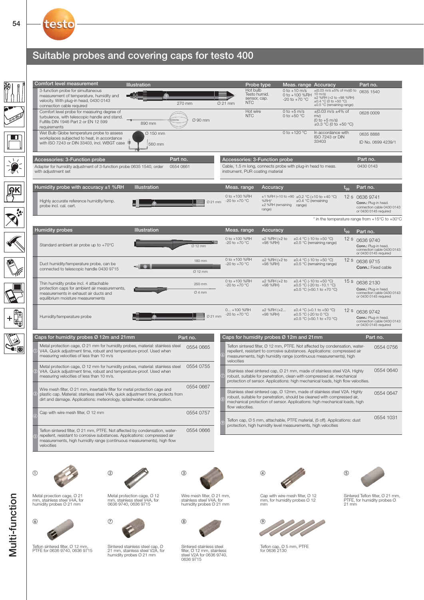## Suitable probes and covering caps for testo 400



 $(1)$ 



Metal proection cage, Ø 21 mm, stainless steel V4A, for humidity probes Ø 21 mm

Teflon sintered filter, Ø 12 mm, PTFE for 0636 9740, 0636 9715



Sintered stainless steel cap, Ø 21 mm, stainless steel V2A, for humidity probes Ø 21 mm

Metal protection cage, Ø 12 mm, stainless steel V4A, for 0636 9740, 0636 9715



Wire mesh filter, Ø 21 mm, stainless steel V4A, for humidity probes Ø 21 mm



Sintered stainless steel filter, Ø 12 mm, stainless steel V2A for 0636 9740, 0636 9715



mm

Cap with wire mesh filter, Ø 12 mm, for humidity probes Ø 12



red Teflon filter, Ø 21 mm, PTFE, for humidity probes Ø 21 mm



Teflon cap, Ø 5 mm, PTFE for 0636 2130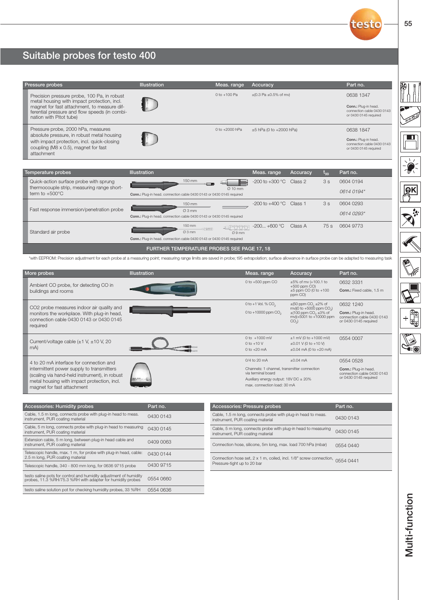# Suitable probes for testo 400

| Pressure probes                                                                                                                                                                                                       | <b>Illustration</b>                                                                      | Meas. range                                                        | Accuracy                                                                                                                                  |                                                                                                                                                                       | Part no.                                                                                 |
|-----------------------------------------------------------------------------------------------------------------------------------------------------------------------------------------------------------------------|------------------------------------------------------------------------------------------|--------------------------------------------------------------------|-------------------------------------------------------------------------------------------------------------------------------------------|-----------------------------------------------------------------------------------------------------------------------------------------------------------------------|------------------------------------------------------------------------------------------|
| Precision pressure probe, 100 Pa, in robust<br>metal housing with impact protection, incl.<br>magnet for fast attachment, to measure dif-<br>ferential pressure and flow speeds (in combi-<br>nation with Pitot tube) |                                                                                          | 0 to +100 Pa                                                       | $\pm (0.3 \text{ Pa } \pm 0.5\% \text{ of } \text{mv})$                                                                                   |                                                                                                                                                                       | 0638 1347<br>Conn.: Plug-in head.<br>connection cable 0430 0143<br>or 0430 0145 required |
| Pressure probe, 2000 hPa, measures<br>absolute pressure, in robust metal housing<br>with impact protection, incl. quick-closing<br>coupling ( $M8 \times 0.5$ ), magnet for fast<br>attachment                        |                                                                                          | 0 to +2000 hPa                                                     | $±5$ hPa (0 to $+2000$ hPa)                                                                                                               |                                                                                                                                                                       | 0638 1847<br>Conn.: Plug-in head.<br>connection cable 0430 0143<br>or 0430 0145 required |
| Temperature probes                                                                                                                                                                                                    | <b>Illustration</b>                                                                      |                                                                    | Meas. range                                                                                                                               | Accuracy<br>$t_{gg}$                                                                                                                                                  | Part no.                                                                                 |
| Quick-action surface probe with sprung<br>thermocouple strip, measuring range short-<br>term to $+500^{\circ}$ C                                                                                                      | 150 mm<br>Conn.: Plug-in head. connection cable 0430 0143 or 0430 0145 required          | Ø 10 mm                                                            | $-200$ to $+300$ °C Class 2                                                                                                               | 3s                                                                                                                                                                    | 0604 0194<br>0614 0194*                                                                  |
| Fast response immersion/penetration probe                                                                                                                                                                             | 150 mm<br>Ø3 mm<br>Conn.: Plug-in head. connection cable 0430 0143 or 0430 0145 required |                                                                    | $-200$ to $+400$ °C Class 1                                                                                                               | 3s                                                                                                                                                                    | 0604 0293<br>0614 0293*                                                                  |
| Standard air probe                                                                                                                                                                                                    | 150 mm<br>Ø3 mm<br>Conn.: Plug-in head. connection cable 0430 0143 or 0430 0145 required | -000<br>-0000<br>Ø9mm                                              | $-200 +600$ °C                                                                                                                            | Class A<br>75 s                                                                                                                                                       | 0604 9773                                                                                |
| *with EEPROM: Precision adjustment for each probe at a measuring point; measuring range limits are saved in probe; t95 extrapolation; surface allowance in surface probe can be adapted to measuring task             | FURTHER TEMPERATURE PROBES SEE PAGE 17, 18                                               |                                                                    |                                                                                                                                           |                                                                                                                                                                       |                                                                                          |
| More probes                                                                                                                                                                                                           | <b>Illustration</b>                                                                      |                                                                    | Meas. range                                                                                                                               | Accuracy                                                                                                                                                              | Part no.                                                                                 |
| Ambient CO probe, for detecting CO in<br>buildings and rooms                                                                                                                                                          |                                                                                          |                                                                    | 0 to +500 ppm CO                                                                                                                          | ±5% of mv (+100.1 to<br>$+500$ ppm $CO$ )<br>$±5$ ppm CO (0 to $+100$<br>ppm CO)                                                                                      | 0632 3331<br>Conn.: Fixed cable, 1.5 m                                                   |
| CO <sub>2</sub> probe measures indoor air quality and<br>monitors the workplace. With plug-in head,<br>connection cable 0430 0143 or 0430 0145<br>required                                                            |                                                                                          |                                                                    | 0 to +1 Vol. % CO <sub>2</sub><br>0 to +10000 ppm CO <sub>2</sub>                                                                         | $\pm$ (50 ppm CO <sub>2</sub> $\pm$ 2% of<br>mv)(0 to +5000 ppm CO <sub>2</sub> )<br>$\pm$ (100 ppm CO <sub>2</sub> $\pm$ 3% of<br>mv)(+5001 to +10000 ppm<br>$CO2$ ) | 0632 1240<br>Conn.: Plug-in head.<br>connection cable 0430 0143<br>or 0430 0145 required |
| Current/voltage cable $(\pm 1 \text{ V}, \pm 10 \text{ V}, 20$<br>mA)                                                                                                                                                 |                                                                                          |                                                                    | 0 to $+1000$ mV<br>0 to $+10$ V<br>0 to $+20$ mA                                                                                          | $±1$ mV (0 to $+1000$ mV)<br>$\pm 0.01$ V (0 to $+10$ V)<br>$\pm 0.04$ mA (0 to $+20$ mA)                                                                             | 0554 0007                                                                                |
| 4 to 20 mA interface for connection and                                                                                                                                                                               |                                                                                          |                                                                    | 0/4 to 20 mA                                                                                                                              | $\pm 0.04$ mA                                                                                                                                                         | 0554 0528                                                                                |
| intermittent power supply to transmitters<br>(scaling via hand-held instrument), in robust<br>metal housing with impact protection, incl.<br>magnet for fast attachment                                               |                                                                                          |                                                                    | Channels: 1 channel, transmitter connection<br>via terminal board<br>Auxiliary energy output: 18V DC ± 20%<br>max, connection load: 30 mA |                                                                                                                                                                       | Conn.: Plug-in head.<br>connection cable 0430 0143<br>or 0430 0145 required              |
| Accessories: Humidity probes                                                                                                                                                                                          | Part no.                                                                                 | <b>Accessories: Pressure probes</b>                                |                                                                                                                                           |                                                                                                                                                                       | Part no.                                                                                 |
| Cable, 1.5 m long, connects probe with plug-in head to meas.<br>instrument, PUR coating material                                                                                                                      | 0430 0143                                                                                | instrument, PUR coating material                                   |                                                                                                                                           | Cable, 1.5 m long, connects probe with plug-in head to meas.                                                                                                          | 0430 0143                                                                                |
| Cable, 5 m long, connects probe with plug-in head to measuring<br>instrument, PUR coating material                                                                                                                    | 0430 0145                                                                                | instrument, PUR coating material                                   |                                                                                                                                           | Cable, 5 m long, connects probe with plug-in head to measuring                                                                                                        | 0430 0145                                                                                |
| Extension cable, 5 m long, between plug-in head cable and<br>instrument. PUR coating material                                                                                                                         | 0409 0063                                                                                | Connection hose, silicone, 5m long, max. load 700 hPa (mbar)       |                                                                                                                                           |                                                                                                                                                                       | 0554 0440                                                                                |
| Telescopic handle, max. 1 m, for probe with plug-in head, cable:<br>2.5 m long. PUR coating material                                                                                                                  | 0430 0144                                                                                | Connection hose set, 2 x 1 m, coiled, incl. 1/8" screw connection, |                                                                                                                                           |                                                                                                                                                                       | 0554 0441                                                                                |
| Telescopic handle, 340 - 800 mm long, for 0636 9715 probe                                                                                                                                                             | 0430 9715                                                                                | Pressure-tight up to 20 bar                                        |                                                                                                                                           |                                                                                                                                                                       |                                                                                          |
| testo saline pots for control and humidity adjustment of humidity<br>probes, 11.3 %RH/75.3 %RH with adapter for humidity probes                                                                                       | 0554 0660                                                                                |                                                                    |                                                                                                                                           |                                                                                                                                                                       |                                                                                          |

testo saline solution pot for checking humidity probes, 33 %RH 0554 0636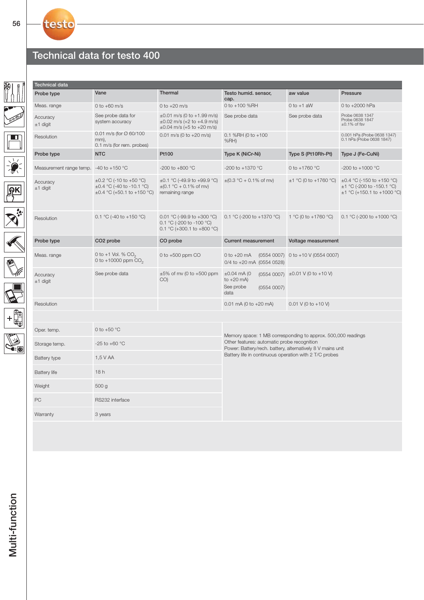# Technical data for testo 400

| Technical data                             |                                                                                                   |                                                                                                          |                                                                                                                                                                           |                                    |                                                                                                     |  |  |
|--------------------------------------------|---------------------------------------------------------------------------------------------------|----------------------------------------------------------------------------------------------------------|---------------------------------------------------------------------------------------------------------------------------------------------------------------------------|------------------------------------|-----------------------------------------------------------------------------------------------------|--|--|
| Probe type                                 | Vane                                                                                              | <b>Thermal</b>                                                                                           | Testo humid. sensor,<br>cap.                                                                                                                                              | aw value                           | Pressure                                                                                            |  |  |
| Meas. range                                | 0 to $+60$ m/s                                                                                    | 0 to $+20$ m/s                                                                                           | 0 to +100 %RH                                                                                                                                                             | $0$ to $+1$ aW                     | 0 to +2000 hPa                                                                                      |  |  |
| Accuracy<br>$±1$ digit                     | See probe data for<br>system accuracy                                                             | $\pm 0.01$ m/s (0 to +1.99 m/s)<br>$\pm 0.02$ m/s (+2 to +4.9 m/s)<br>$\pm 0.04$ m/s (+5 to +20 m/s)     | See probe data                                                                                                                                                            | See probe data                     | Probe 0638 1347<br>Probe 0638 1847<br>$\pm 0.1\%$ of fsv                                            |  |  |
| Resolution                                 | 0.01 m/s (for $\oslash$ 60/100<br>mm),<br>0.1 m/s (for rem. probes)                               | $0.01$ m/s (0 to +20 m/s)                                                                                | 0.1 %RH (0 to $+100$<br>$%RH$ )                                                                                                                                           |                                    | 0.001 hPa (Probe 0638 1347)<br>0.1 hPa (Probe 0638 1847)                                            |  |  |
| Probe type                                 | <b>NTC</b>                                                                                        | Pt100                                                                                                    | Type K (NiCr-Ni)                                                                                                                                                          | Type S (Pt10Rh-Pt)                 | Type J (Fe-CuNi)                                                                                    |  |  |
| Measurement range temp. $-40$ to $+150$ °C |                                                                                                   | -200 to +800 $^{\circ}$ C                                                                                | -200 to +1370 °C                                                                                                                                                          | 0 to $+1760$ °C                    | -200 to +1000 °C                                                                                    |  |  |
| Accuracy<br>$±1$ digit                     | $\pm 0.2$ °C (-10 to +50 °C)<br>$\pm 0.4$ °C (-40 to -10.1 °C)<br>$\pm 0.4$ °C (+50.1 to +150 °C) | $\pm 0.1$ °C (-49.9 to +99.9 °C)<br>$\pm (0.1 \degree C + 0.1\% \space of \space mv)$<br>remaining range | $\pm$ (0.3 °C + 0.1% of mv)                                                                                                                                               | $\pm$ 1 °C (0 to +1760 °C)         | $\pm 0.4$ °C (-150 to +150 °C)<br>$\pm$ 1 °C (-200 to -150.1 °C)<br>$\pm$ 1 °C (+150.1 to +1000 °C) |  |  |
| Resolution                                 | 0.1 °C (-40 to +150 °C)                                                                           | 0.01 °C (-99.9 to +300 °C)<br>0.1 °C (-200 to -100 °C)<br>0.1 °C (+300.1 to +800 °C)                     | 0.1 °C (-200 to +1370 °C)                                                                                                                                                 | 1 °C (0 to +1760 °C)               | 0.1 °C (-200 to +1000 °C)                                                                           |  |  |
| Probe type                                 | CO <sub>2</sub> probe                                                                             | CO probe                                                                                                 | <b>Current measurement</b>                                                                                                                                                | Voltage measurement                |                                                                                                     |  |  |
| Meas. range                                | 0 to +1 Vol. % $CO2$<br>0 to +10000 ppm $CO2$                                                     | 0 to $+500$ ppm CO                                                                                       | 0 to $+20$ mA<br>0/4 to +20 mA (0554 0528)                                                                                                                                | (0554 0007) 0 to +10 V (0554 0007) |                                                                                                     |  |  |
| Accuracy<br>$±1$ digit                     | See probe data                                                                                    | $\pm 5\%$ of mv (0 to +500 ppm<br>CO()                                                                   | $\pm 0.04$ mA (0<br>to $+20$ mA)<br>See probe<br>(05540007)<br>data                                                                                                       | $(0554 0007)$ ±0.01 V (0 to +10 V) |                                                                                                     |  |  |
| Resolution                                 |                                                                                                   |                                                                                                          | 0.01 mA (0 to $+20$ mA)                                                                                                                                                   | 0.01 V (0 to +10 V)                |                                                                                                     |  |  |
|                                            |                                                                                                   |                                                                                                          |                                                                                                                                                                           |                                    |                                                                                                     |  |  |
| Oper. temp.                                | 0 to +50 $^{\circ}$ C                                                                             |                                                                                                          |                                                                                                                                                                           |                                    |                                                                                                     |  |  |
| Storage temp.                              | $-25$ to $+60$ °C                                                                                 |                                                                                                          | Memory space: 1 MB corresponding to approx. 500,000 readings<br>Other features: automatic probe recognition<br>Power: Battery/rech. battery, alternatively 8 V mains unit |                                    |                                                                                                     |  |  |
| Battery type                               | 1,5 V AA                                                                                          |                                                                                                          | Battery life in continuous operation with 2 T/C probes                                                                                                                    |                                    |                                                                                                     |  |  |
| <b>Battery life</b>                        | 18h                                                                                               |                                                                                                          |                                                                                                                                                                           |                                    |                                                                                                     |  |  |
| Weight                                     | 500 g                                                                                             |                                                                                                          |                                                                                                                                                                           |                                    |                                                                                                     |  |  |
| PC                                         | RS232 interface                                                                                   |                                                                                                          |                                                                                                                                                                           |                                    |                                                                                                     |  |  |
| Warranty                                   | 3 years                                                                                           |                                                                                                          |                                                                                                                                                                           |                                    |                                                                                                     |  |  |